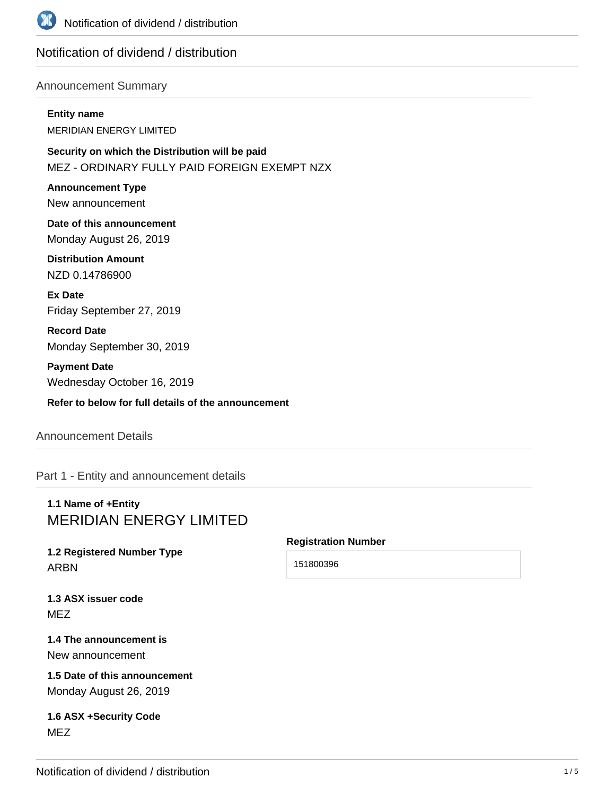

# Notification of dividend / distribution

### Announcement Summary

#### **Entity name**

MERIDIAN ENERGY LIMITED

**Security on which the Distribution will be paid** MEZ - ORDINARY FULLY PAID FOREIGN EXEMPT NZX

**Announcement Type** New announcement

**Date of this announcement** Monday August 26, 2019

**Distribution Amount** NZD 0.14786900

**Ex Date** Friday September 27, 2019

**Record Date** Monday September 30, 2019

**Payment Date** Wednesday October 16, 2019

**Refer to below for full details of the announcement**

## Announcement Details

Part 1 - Entity and announcement details

# **1.1 Name of +Entity** MERIDIAN ENERGY LIMITED

# **1.2 Registered Number Type** ARBN

### **Registration Number**

151800396

**1.3 ASX issuer code** MEZ

### **1.4 The announcement is** New announcement

**1.5 Date of this announcement** Monday August 26, 2019

## **1.6 ASX +Security Code** MEZ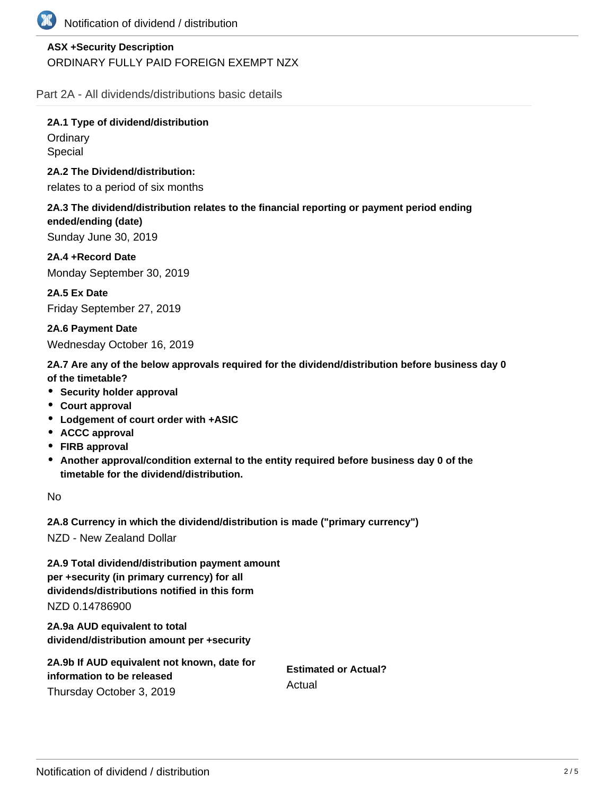

# **ASX +Security Description** ORDINARY FULLY PAID FOREIGN EXEMPT NZX

Part 2A - All dividends/distributions basic details

**2A.1 Type of dividend/distribution Ordinary** Special

**2A.2 The Dividend/distribution:**

relates to a period of six months

**2A.3 The dividend/distribution relates to the financial reporting or payment period ending ended/ending (date)** Sunday June 30, 2019

**2A.4 +Record Date** Monday September 30, 2019

**2A.5 Ex Date** Friday September 27, 2019

**2A.6 Payment Date** Wednesday October 16, 2019

**2A.7 Are any of the below approvals required for the dividend/distribution before business day 0 of the timetable?**

- **•** Security holder approval
- **Court approval**
- **Lodgement of court order with +ASIC**
- **ACCC approval**
- **FIRB approval**
- **Another approval/condition external to the entity required before business day 0 of the timetable for the dividend/distribution.**

No

**2A.8 Currency in which the dividend/distribution is made ("primary currency")**

NZD - New Zealand Dollar

**2A.9 Total dividend/distribution payment amount per +security (in primary currency) for all dividends/distributions notified in this form** NZD 0.14786900

**2A.9a AUD equivalent to total dividend/distribution amount per +security**

| 2A.9b If AUD equivalent not known, date for |                                       |  |
|---------------------------------------------|---------------------------------------|--|
| information to be released                  | <b>Estimated or Actual?</b><br>Actual |  |
| Thursday October 3, 2019                    |                                       |  |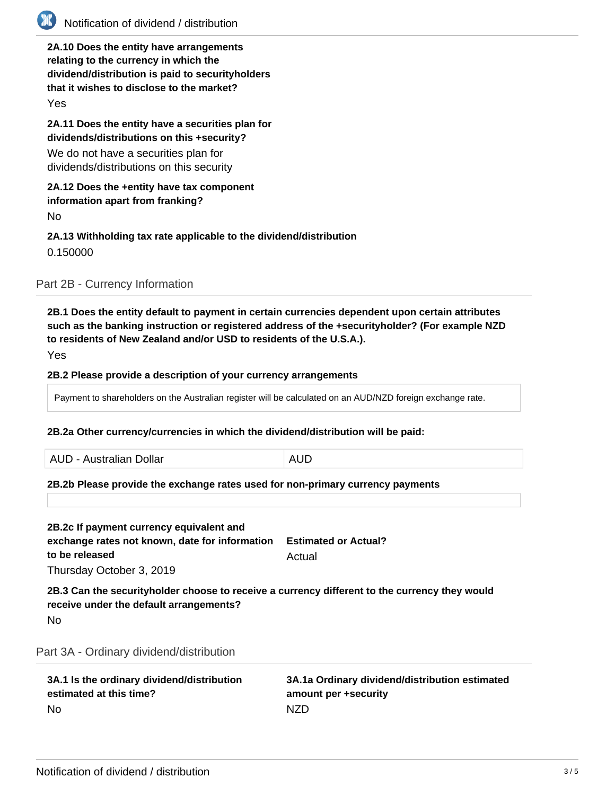

# Notification of dividend / distribution

**2A.10 Does the entity have arrangements relating to the currency in which the dividend/distribution is paid to securityholders that it wishes to disclose to the market?**

Yes

**2A.11 Does the entity have a securities plan for dividends/distributions on this +security?**

We do not have a securities plan for dividends/distributions on this security

### **2A.12 Does the +entity have tax component information apart from franking?**

No

### **2A.13 Withholding tax rate applicable to the dividend/distribution** 0.150000

Part 2B - Currency Information

**2B.1 Does the entity default to payment in certain currencies dependent upon certain attributes such as the banking instruction or registered address of the +securityholder? (For example NZD to residents of New Zealand and/or USD to residents of the U.S.A.).**

Yes

### **2B.2 Please provide a description of your currency arrangements**

Payment to shareholders on the Australian register will be calculated on an AUD/NZD foreign exchange rate.

### **2B.2a Other currency/currencies in which the dividend/distribution will be paid:**

AUD - Australian Dollar **AUD** 

### **2B.2b Please provide the exchange rates used for non-primary currency payments**

| 2B.2c If payment currency equivalent and<br>exchange rates not known, date for information<br>to be released<br>Thursday October 3, 2019 | <b>Estimated or Actual?</b><br>Actual |
|------------------------------------------------------------------------------------------------------------------------------------------|---------------------------------------|
| 2B.3 Can the securityholder choose to receive a currency different to the currency they would<br>receive under the default arrangements? |                                       |
| No.                                                                                                                                      |                                       |

Part 3A - Ordinary dividend/distribution

| 3A.1 Is the ordinary dividend/distribution | 3A.1a Ordinary dividend/distribution estimated |
|--------------------------------------------|------------------------------------------------|
| estimated at this time?                    | amount per +security                           |
| - No                                       | NZD.                                           |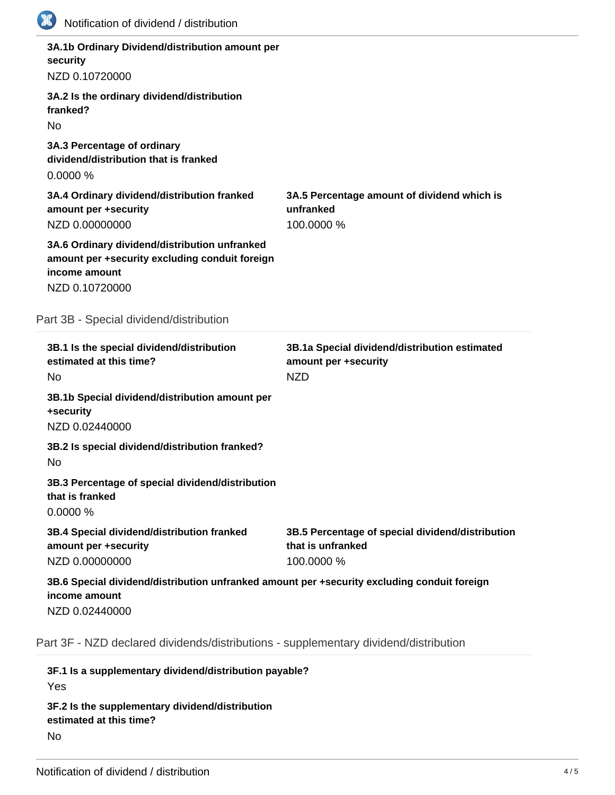| <b>TIP</b><br>Notification of dividend / distribution                                                                              |                                                                                     |
|------------------------------------------------------------------------------------------------------------------------------------|-------------------------------------------------------------------------------------|
| 3A.1b Ordinary Dividend/distribution amount per<br>security                                                                        |                                                                                     |
| NZD 0.10720000                                                                                                                     |                                                                                     |
| 3A.2 Is the ordinary dividend/distribution<br>franked?                                                                             |                                                                                     |
| <b>No</b><br>3A.3 Percentage of ordinary<br>dividend/distribution that is franked<br>0.0000%                                       |                                                                                     |
| 3A.4 Ordinary dividend/distribution franked<br>amount per +security<br>NZD 0.00000000                                              | 3A.5 Percentage amount of dividend which is<br>unfranked<br>100.0000 %              |
| 3A.6 Ordinary dividend/distribution unfranked<br>amount per +security excluding conduit foreign<br>income amount<br>NZD 0.10720000 |                                                                                     |
| Part 3B - Special dividend/distribution                                                                                            |                                                                                     |
| 3B.1 Is the special dividend/distribution<br>estimated at this time?<br>No                                                         | 3B.1a Special dividend/distribution estimated<br>amount per +security<br><b>NZD</b> |
| 3B.1b Special dividend/distribution amount per<br>+security<br>NZD 0.02440000                                                      |                                                                                     |
| 3B.2 Is special dividend/distribution franked?<br>No                                                                               |                                                                                     |
| 3B.3 Percentage of special dividend/distribution<br>that is franked                                                                |                                                                                     |
| 0.0000%                                                                                                                            |                                                                                     |
| 3B.4 Special dividend/distribution franked<br>amount per +security<br>NZD 0.00000000                                               | 3B.5 Percentage of special dividend/distribution<br>that is unfranked<br>100.0000 % |
| 3B.6 Special dividend/distribution unfranked amount per +security excluding conduit foreign                                        |                                                                                     |
| income amount<br>NZD 0.02440000                                                                                                    |                                                                                     |

**3F.1 Is a supplementary dividend/distribution payable?** Yes **3F.2 Is the supplementary dividend/distribution estimated at this time?** No